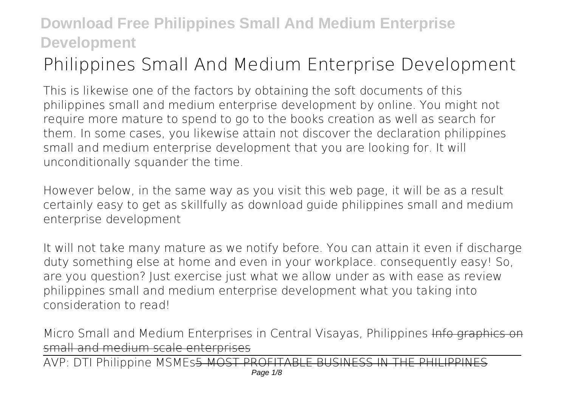# **Philippines Small And Medium Enterprise Development**

This is likewise one of the factors by obtaining the soft documents of this **philippines small and medium enterprise development** by online. You might not require more mature to spend to go to the books creation as well as search for them. In some cases, you likewise attain not discover the declaration philippines small and medium enterprise development that you are looking for. It will unconditionally squander the time.

However below, in the same way as you visit this web page, it will be as a result certainly easy to get as skillfully as download guide philippines small and medium enterprise development

It will not take many mature as we notify before. You can attain it even if discharge duty something else at home and even in your workplace. consequently easy! So, are you question? Just exercise just what we allow under as with ease as review **philippines small and medium enterprise development** what you taking into consideration to read!

*Micro Small and Medium Enterprises in Central Visayas, Philippines Info graphic* small and medium scale enterprises

AVP: DTI Philippine MSMEs5 MOST PROFITABLE BUSINESS IN THE PHILIPPINES Page  $1/8$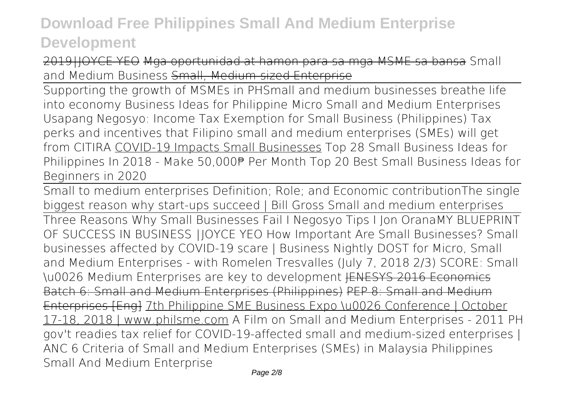2019⎮JOYCE YEO Mga oportunidad at hamon para sa mga MSME sa bansa **Small and Medium Business** Small, Medium-sized Enterprise

Supporting the growth of MSMEs in PH*Small and medium businesses breathe life into economy* **Business Ideas for Philippine Micro Small and Medium Enterprises** *Usapang Negosyo: Income Tax Exemption for Small Business (Philippines) Tax perks and incentives that Filipino small and medium enterprises (SMEs) will get from CITIRA* COVID-19 Impacts Small Businesses *Top 28 Small Business Ideas for Philippines In 2018 - Make 50,000₱ Per Month Top 20 Best Small Business Ideas for Beginners in 2020*

Small to medium enterprises Definition; Role; and Economic contribution*The single biggest reason why start-ups succeed | Bill Gross Small and medium enterprises* Three Reasons Why Small Businesses Fail I Negosyo Tips I Jon Orana*MY BLUEPRINT OF SUCCESS IN BUSINESS ⎮JOYCE YEO How Important Are Small Businesses? Small businesses affected by COVID-19 scare | Business Nightly DOST for Micro, Small and Medium Enterprises - with Romelen Tresvalles (July 7, 2018 2/3)* SCORE: Small \u0026 Medium Enterprises are key to development JENESYS 2016 Economics Batch 6: Small and Medium Enterprises (Philippines) PEP 8: Small and Medium Enterprises [Eng] 7th Philippine SME Business Expo \u0026 Conference | October 17-18, 2018 | www.philsme.com *A Film on Small and Medium Enterprises - 2011* **PH gov't readies tax relief for COVID-19-affected small and medium-sized enterprises | ANC 6 Criteria of Small and Medium Enterprises (SMEs) in Malaysia** *Philippines Small And Medium Enterprise*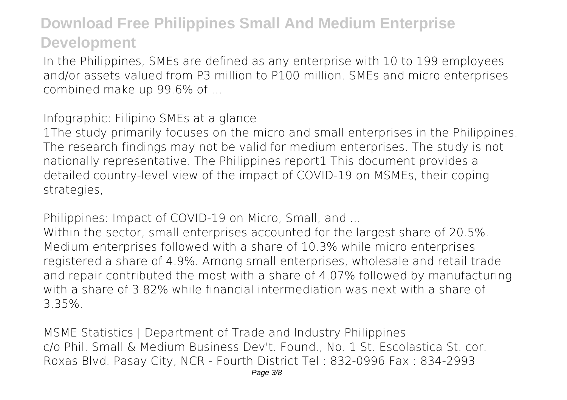In the Philippines, SMEs are defined as any enterprise with 10 to 199 employees and/or assets valued from P3 million to P100 million. SMEs and micro enterprises combined make up 99.6% of ...

*Infographic: Filipino SMEs at a glance*

1The study primarily focuses on the micro and small enterprises in the Philippines. The research findings may not be valid for medium enterprises. The study is not nationally representative. The Philippines report1 This document provides a detailed country-level view of the impact of COVID-19 on MSMEs, their coping strategies,

*Philippines: Impact of COVID-19 on Micro, Small, and ...*

Within the sector, small enterprises accounted for the largest share of 20.5%. Medium enterprises followed with a share of 10.3% while micro enterprises registered a share of 4.9%. Among small enterprises, wholesale and retail trade and repair contributed the most with a share of 4.07% followed by manufacturing with a share of 3.82% while financial intermediation was next with a share of 3.35%.

*MSME Statistics | Department of Trade and Industry Philippines* c/o Phil. Small & Medium Business Dev't. Found., No. 1 St. Escolastica St. cor. Roxas Blvd. Pasay City, NCR - Fourth District Tel : 832-0996 Fax : 834-2993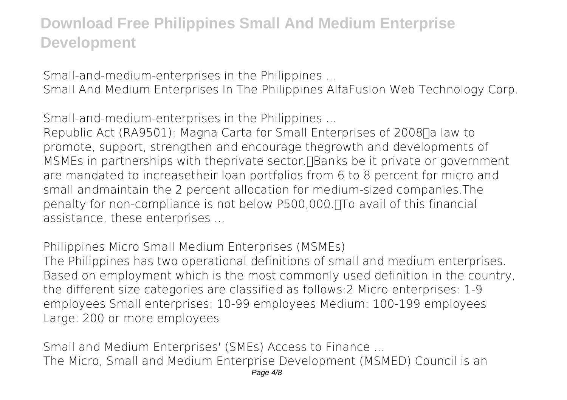*Small-and-medium-enterprises in the Philippines ...*

Small And Medium Enterprises In The Philippines AlfaFusion Web Technology Corp.

*Small-and-medium-enterprises in the Philippines ...*

Republic Act (RA9501): Magna Carta for Small Enterprises of 2008<sub>[]</sub> a law to promote, support, strengthen and encourage thegrowth and developments of MSMEs in partnerships with theprivate sector. Thanks be it private or government are mandated to increasetheir loan portfolios from 6 to 8 percent for micro and small andmaintain the 2 percent allocation for medium-sized companies.The penalty for non-compliance is not below P500,000. The avail of this financial assistance, these enterprises ...

*Philippines Micro Small Medium Enterprises (MSMEs)*

The Philippines has two operational definitions of small and medium enterprises. Based on employment which is the most commonly used definition in the country, the different size categories are classified as follows:2 Micro enterprises: 1-9 employees Small enterprises: 10-99 employees Medium: 100-199 employees Large: 200 or more employees

*Small and Medium Enterprises' (SMEs) Access to Finance ...* The Micro, Small and Medium Enterprise Development (MSMED) Council is an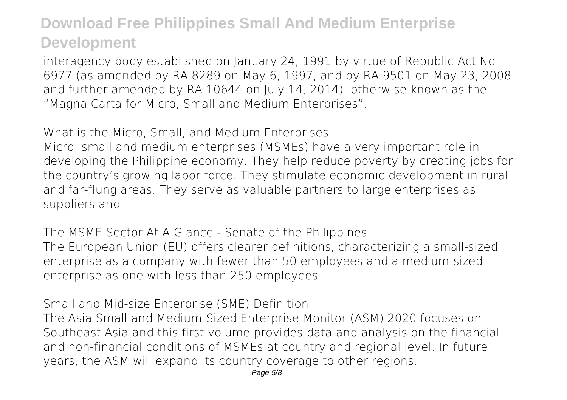interagency body established on January 24, 1991 by virtue of Republic Act No. 6977 (as amended by RA 8289 on May 6, 1997, and by RA 9501 on May 23, 2008, and further amended by RA 10644 on July 14, 2014), otherwise known as the "Magna Carta for Micro, Small and Medium Enterprises".

*What is the Micro, Small, and Medium Enterprises ...*

Micro, small and medium enterprises (MSMEs) have a very important role in developing the Philippine economy. They help reduce poverty by creating jobs for the country's growing labor force. They stimulate economic development in rural and far-flung areas. They serve as valuable partners to large enterprises as suppliers and

*The MSME Sector At A Glance - Senate of the Philippines* The European Union (EU) offers clearer definitions, characterizing a small-sized enterprise as a company with fewer than 50 employees and a medium-sized enterprise as one with less than 250 employees.

*Small and Mid-size Enterprise (SME) Definition*

The Asia Small and Medium-Sized Enterprise Monitor (ASM) 2020 focuses on Southeast Asia and this first volume provides data and analysis on the financial and non-financial conditions of MSMEs at country and regional level. In future years, the ASM will expand its country coverage to other regions.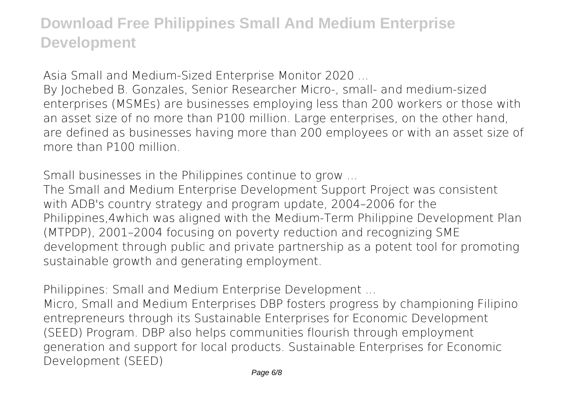*Asia Small and Medium-Sized Enterprise Monitor 2020 ...*

By Jochebed B. Gonzales, Senior Researcher Micro-, small- and medium-sized enterprises (MSMEs) are businesses employing less than 200 workers or those with an asset size of no more than P100 million. Large enterprises, on the other hand, are defined as businesses having more than 200 employees or with an asset size of more than P100 million.

*Small businesses in the Philippines continue to grow ...*

The Small and Medium Enterprise Development Support Project was consistent with ADB's country strategy and program update, 2004–2006 for the Philippines,4which was aligned with the Medium-Term Philippine Development Plan (MTPDP), 2001–2004 focusing on poverty reduction and recognizing SME development through public and private partnership as a potent tool for promoting sustainable growth and generating employment.

*Philippines: Small and Medium Enterprise Development ...*

Micro, Small and Medium Enterprises DBP fosters progress by championing Filipino entrepreneurs through its Sustainable Enterprises for Economic Development (SEED) Program. DBP also helps communities flourish through employment generation and support for local products. Sustainable Enterprises for Economic Development (SEED)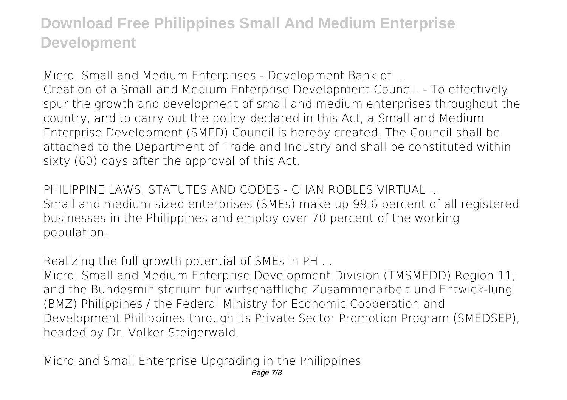*Micro, Small and Medium Enterprises - Development Bank of ...* Creation of a Small and Medium Enterprise Development Council. - To effectively spur the growth and development of small and medium enterprises throughout the country, and to carry out the policy declared in this Act, a Small and Medium Enterprise Development (SMED) Council is hereby created. The Council shall be attached to the Department of Trade and Industry and shall be constituted within sixty (60) days after the approval of this Act.

*PHILIPPINE LAWS, STATUTES AND CODES - CHAN ROBLES VIRTUAL ...* Small and medium-sized enterprises (SMEs) make up 99.6 percent of all registered businesses in the Philippines and employ over 70 percent of the working population.

*Realizing the full growth potential of SMEs in PH ...*

Micro, Small and Medium Enterprise Development Division (TMSMEDD) Region 11; and the Bundesministerium für wirtschaftliche Zusammenarbeit und Entwick-lung (BMZ) Philippines / the Federal Ministry for Economic Cooperation and Development Philippines through its Private Sector Promotion Program (SMEDSEP), headed by Dr. Volker Steigerwald.

*Micro and Small Enterprise Upgrading in the Philippines* Page 7/8